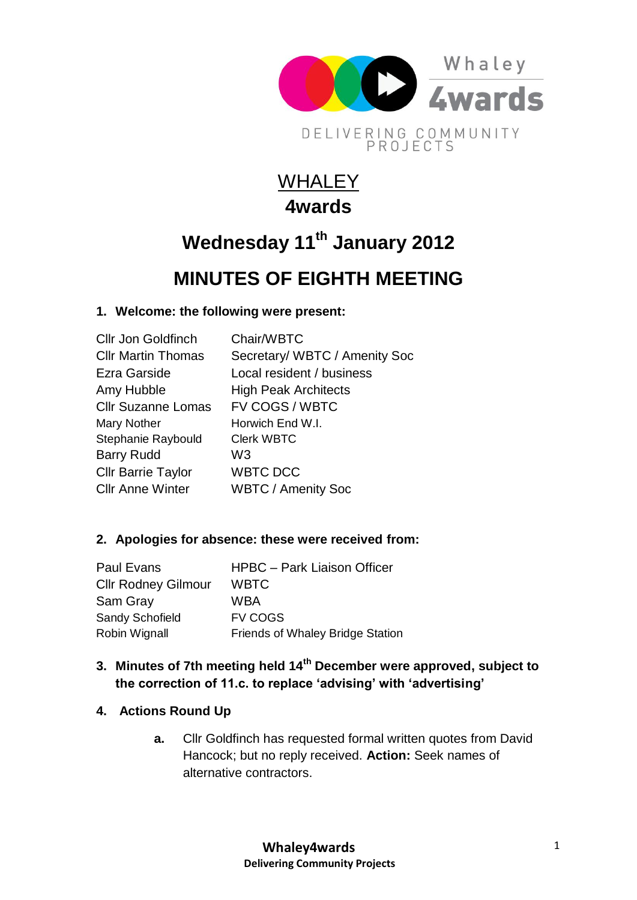

## **WHALEY 4wards**

# **Wednesday 11th January 2012**

## **MINUTES OF EIGHTH MEETING**

## **1. Welcome: the following were present:**

| <b>Cllr Jon Goldfinch</b> | Chair/WBTC                    |
|---------------------------|-------------------------------|
| <b>CIIr Martin Thomas</b> | Secretary/ WBTC / Amenity Soc |
| Ezra Garside              | Local resident / business     |
| Amy Hubble                | <b>High Peak Architects</b>   |
| <b>Cllr Suzanne Lomas</b> | FV COGS / WBTC                |
| Mary Nother               | Horwich End W.I.              |
| Stephanie Raybould        | <b>Clerk WBTC</b>             |
| <b>Barry Rudd</b>         | W3                            |
| <b>Cllr Barrie Taylor</b> | <b>WBTC DCC</b>               |
| <b>CIIr Anne Winter</b>   | <b>WBTC / Amenity Soc</b>     |

## **2. Apologies for absence: these were received from:**

| <b>Paul Evans</b>          | <b>HPBC</b> - Park Liaison Officer      |
|----------------------------|-----------------------------------------|
| <b>Cllr Rodney Gilmour</b> | <b>WBTC</b>                             |
| Sam Gray                   | WBA                                     |
| Sandy Schofield            | <b>FV COGS</b>                          |
| Robin Wignall              | <b>Friends of Whaley Bridge Station</b> |

## **3. Minutes of 7th meeting held 14th December were approved, subject to the correction of 11.c. to replace 'advising' with 'advertising'**

## **4. Actions Round Up**

**a.** Cllr Goldfinch has requested formal written quotes from David Hancock; but no reply received. **Action:** Seek names of alternative contractors.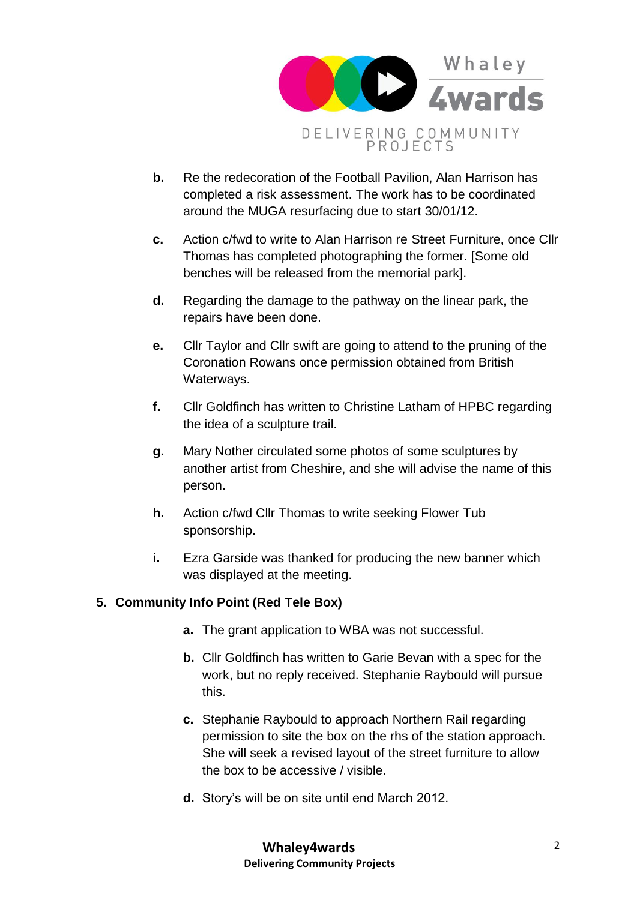

- **b.** Re the redecoration of the Football Pavilion, Alan Harrison has completed a risk assessment. The work has to be coordinated around the MUGA resurfacing due to start 30/01/12.
- **c.** Action c/fwd to write to Alan Harrison re Street Furniture, once Cllr Thomas has completed photographing the former. [Some old benches will be released from the memorial park].
- **d.** Regarding the damage to the pathway on the linear park, the repairs have been done.
- **e.** Cllr Taylor and Cllr swift are going to attend to the pruning of the Coronation Rowans once permission obtained from British Waterways.
- **f.** Cllr Goldfinch has written to Christine Latham of HPBC regarding the idea of a sculpture trail.
- **g.** Mary Nother circulated some photos of some sculptures by another artist from Cheshire, and she will advise the name of this person.
- **h.** Action c/fwd Cllr Thomas to write seeking Flower Tub sponsorship.
- **i.** Ezra Garside was thanked for producing the new banner which was displayed at the meeting.

## **5. Community Info Point (Red Tele Box)**

- **a.** The grant application to WBA was not successful.
- **b.** Cllr Goldfinch has written to Garie Bevan with a spec for the work, but no reply received. Stephanie Raybould will pursue this.
- **c.** Stephanie Raybould to approach Northern Rail regarding permission to site the box on the rhs of the station approach. She will seek a revised layout of the street furniture to allow the box to be accessive / visible.
- **d.** Story's will be on site until end March 2012.